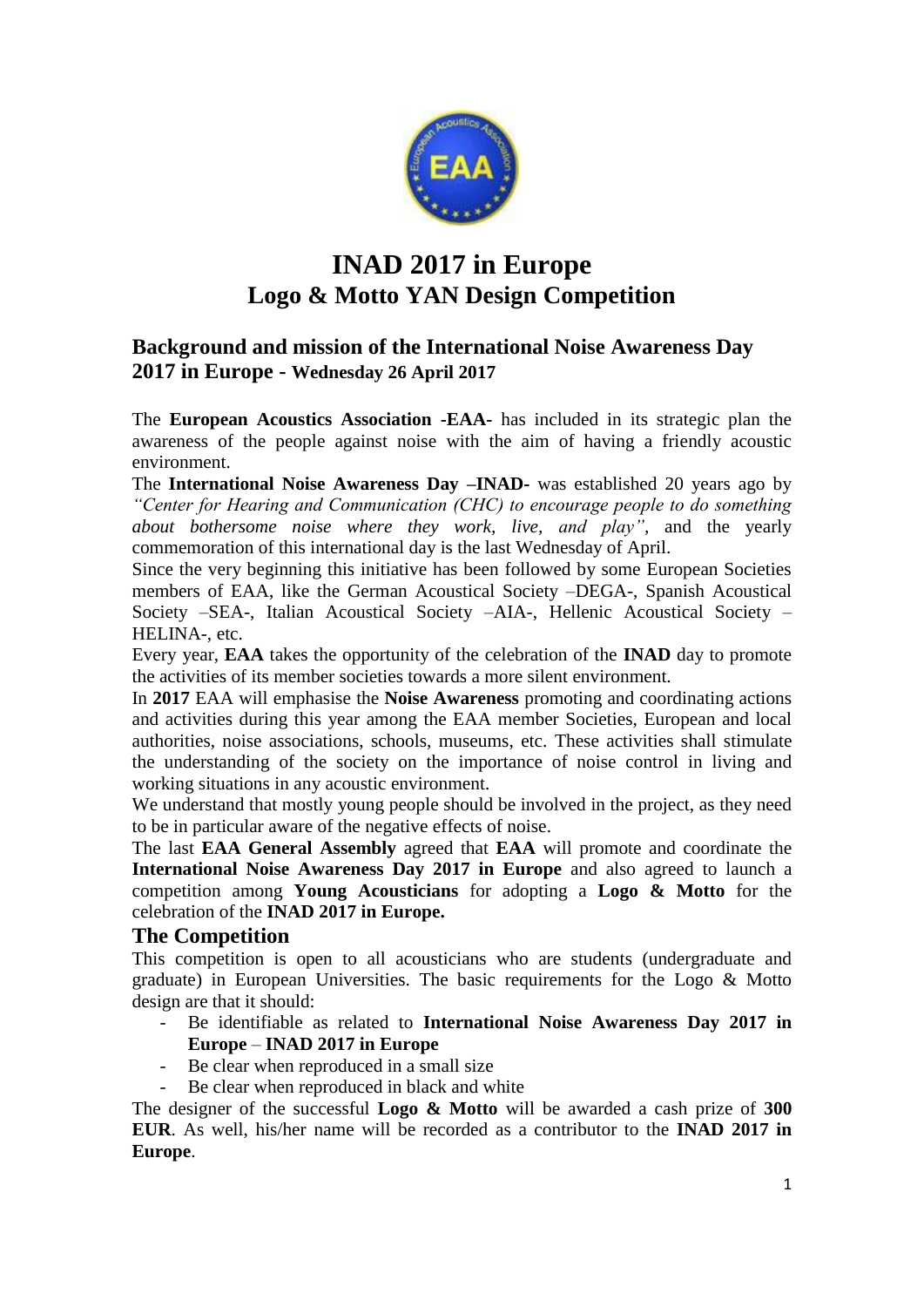

# **INAD 2017 in Europe Logo & Motto YAN Design Competition**

### **Background and mission of the International Noise Awareness Day 2017 in Europe - Wednesday 26 April 2017**

The **European Acoustics Association -EAA-** has included in its strategic plan the awareness of the people against noise with the aim of having a friendly acoustic environment.

The **International Noise Awareness Day –INAD-** was established 20 years ago by *"Center for Hearing and Communication (CHC) to encourage people to do something about bothersome noise where they work, live, and play",* and the yearly commemoration of this international day is the last Wednesday of April.

Since the very beginning this initiative has been followed by some European Societies members of EAA, like the German Acoustical Society –DEGA-, Spanish Acoustical Society –SEA-, Italian Acoustical Society –AIA-, Hellenic Acoustical Society – HELINA-, etc.

Every year, **EAA** takes the opportunity of the celebration of the **INAD** day to promote the activities of its member societies towards a more silent environment.

In **2017** EAA will emphasise the **Noise Awareness** promoting and coordinating actions and activities during this year among the EAA member Societies, European and local authorities, noise associations, schools, museums, etc. These activities shall stimulate the understanding of the society on the importance of noise control in living and working situations in any acoustic environment.

We understand that mostly young people should be involved in the project, as they need to be in particular aware of the negative effects of noise.

The last **EAA General Assembly** agreed that **EAA** will promote and coordinate the **International Noise Awareness Day 2017 in Europe** and also agreed to launch a competition among **Young Acousticians** for adopting a **Logo & Motto** for the celebration of the **INAD 2017 in Europe.**

#### **The Competition**

This competition is open to all acousticians who are students (undergraduate and graduate) in European Universities. The basic requirements for the Logo & Motto design are that it should:

- Be identifiable as related to **International Noise Awareness Day 2017 in Europe** – **INAD 2017 in Europe**
- Be clear when reproduced in a small size
- Be clear when reproduced in black and white

The designer of the successful **Logo & Motto** will be awarded a cash prize of **300 EUR**. As well, his/her name will be recorded as a contributor to the **INAD 2017 in Europe**.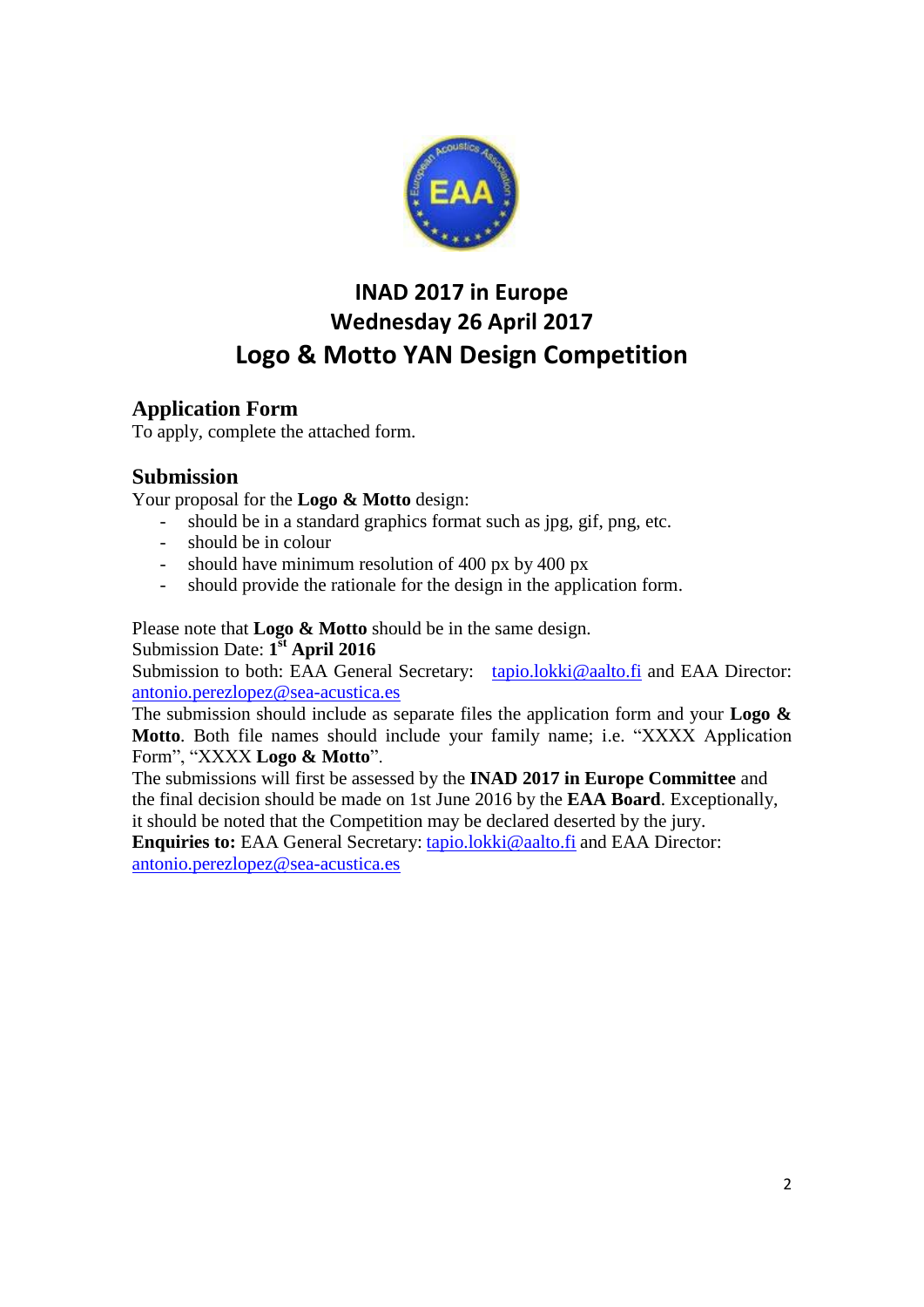

## **INAD 2017 in Europe Wednesday 26 April 2017 Logo & Motto YAN Design Competition**

### **Application Form**

To apply, complete the attached form.

### **Submission**

Your proposal for the **Logo & Motto** design:

- should be in a standard graphics format such as jpg, gif, png, etc.
- should be in colour
- should have minimum resolution of 400 px by 400 px
- should provide the rationale for the design in the application form.

Please note that **Logo & Motto** should be in the same design.

Submission Date: **1 st April 2016**

Submission to both: EAA General Secretary: [tapio.lokki@aalto.fi](mailto:tapio.lokki@aalto.fi) and EAA Director: [antonio.perezlopez@sea-acustica.es](mailto:antonio.perezlopez@sea-acustica.es)

The submission should include as separate files the application form and your **Logo & Motto**. Both file names should include your family name; i.e. "XXXX Application Form", "XXXX **Logo & Motto**".

The submissions will first be assessed by the **INAD 2017 in Europe Committee** and the final decision should be made on 1st June 2016 by the **EAA Board**. Exceptionally, it should be noted that the Competition may be declared deserted by the jury.

**Enquiries to:** EAA General Secretary: [tapio.lokki@aalto.fi](mailto:tapio.lokki@aalto.fi) and EAA Director: [antonio.perezlopez@sea-acustica.es](mailto:antonio.perezlopez@sea-acustica.es)